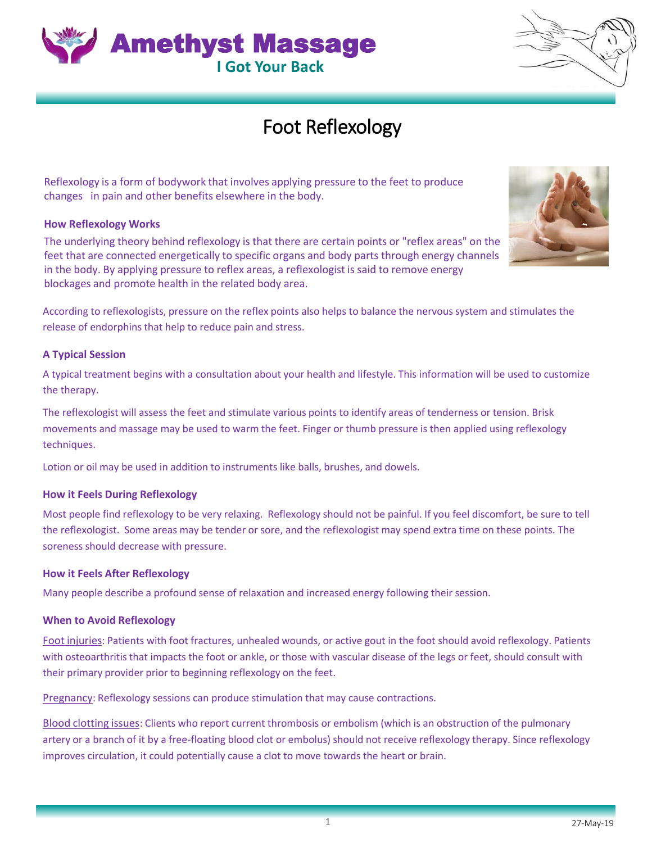their primary provider prior to beginning reflexology on the feet. Pregnancy: Reflexology sessions can produce stimulation that may cause contractions.

Blood clotting issues: Clients who report current thrombosis or embolism (which is an obstruction of the pulmonary artery or a branch of it by a free-floating blood clot or embolus) should not receive reflexology therapy. Since reflexology improves circulation, it could potentially cause a clot to move towards the heart or brain.

#### **How it Feels During Reflexology**

Most people find reflexology to be very relaxing. Reflexology should not be painful. If you feel discomfort, be sure to tell the reflexologist. Some areas may be tender or sore, and the reflexologist may spend extra time on these points. The soreness should decrease with pressure.

Foot injuries: Patients with foot fractures, unhealed wounds, or active gout in the foot should avoid reflexology. Patients with osteoarthritis that impacts the foot or ankle, or those with vascular disease of the legs or feet, should consult with

# **How it Feels After Reflexology**

techniques. Lotion or oil may be used in addition to instruments like balls, brushes, and dowels.

### **How Reflexology Works**

The underlying theory behind reflexology is that there are certain points or "reflex areas" on the feet that are connected energetically to specific organs and body parts through energy channels in the body. By applying pressure to reflex areas, a reflexologist is said to remove energy

Reflexology is a form of bodywork that involves applying pressure to the feet to produce

According to reflexologists, pressure on the reflex points also helps to balance the nervous system and stimulates the

Foot Reflexology

blockages and promote health in the related body area.

release of endorphins that help to reduce pain and stress.

#### **A Typical Session**

A typical treatment begins with a consultation about your health and lifestyle. This information will be used to customize the therapy.

The reflexologist will assess the feet and stimulate various points to identify areas of tenderness or tension. Brisk movements and massage may be used to warm the feet. Finger or thumb pressure is then applied using reflexology

Many people describe a profound sense of relaxation and increased energy following their session.

## **When to Avoid Reflexology**

27-May-19





changes in pain and other benefits elsewhere in the body.